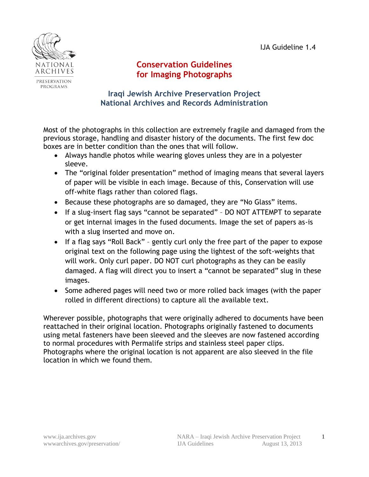IJA Guideline 1.4



## **Conservation Guidelines for Imaging Photographs**

## **Iraqi Jewish Archive Preservation Project National Archives and Records Administration**

Most of the photographs in this collection are extremely fragile and damaged from the previous storage, handling and disaster history of the documents. The first few doc boxes are in better condition than the ones that will follow.

- Always handle photos while wearing gloves unless they are in a polyester sleeve.
- The "original folder presentation" method of imaging means that several layers of paper will be visible in each image. Because of this, Conservation will use off-white flags rather than colored flags.
- Because these photographs are so damaged, they are "No Glass" items.
- If a slug-insert flag says "cannot be separated" DO NOT ATTEMPT to separate or get internal images in the fused documents. Image the set of papers as-is with a slug inserted and move on.
- If a flag says "Roll Back" gently curl only the free part of the paper to expose original text on the following page using the lightest of the soft-weights that will work. Only curl paper. DO NOT curl photographs as they can be easily damaged. A flag will direct you to insert a "cannot be separated" slug in these images.
- Some adhered pages will need two or more rolled back images (with the paper rolled in different directions) to capture all the available text.

Wherever possible, photographs that were originally adhered to documents have been reattached in their original location. Photographs originally fastened to documents using metal fasteners have been sleeved and the sleeves are now fastened according to normal procedures with Permalife strips and stainless steel paper clips. Photographs where the original location is not apparent are also sleeved in the file location in which we found them.